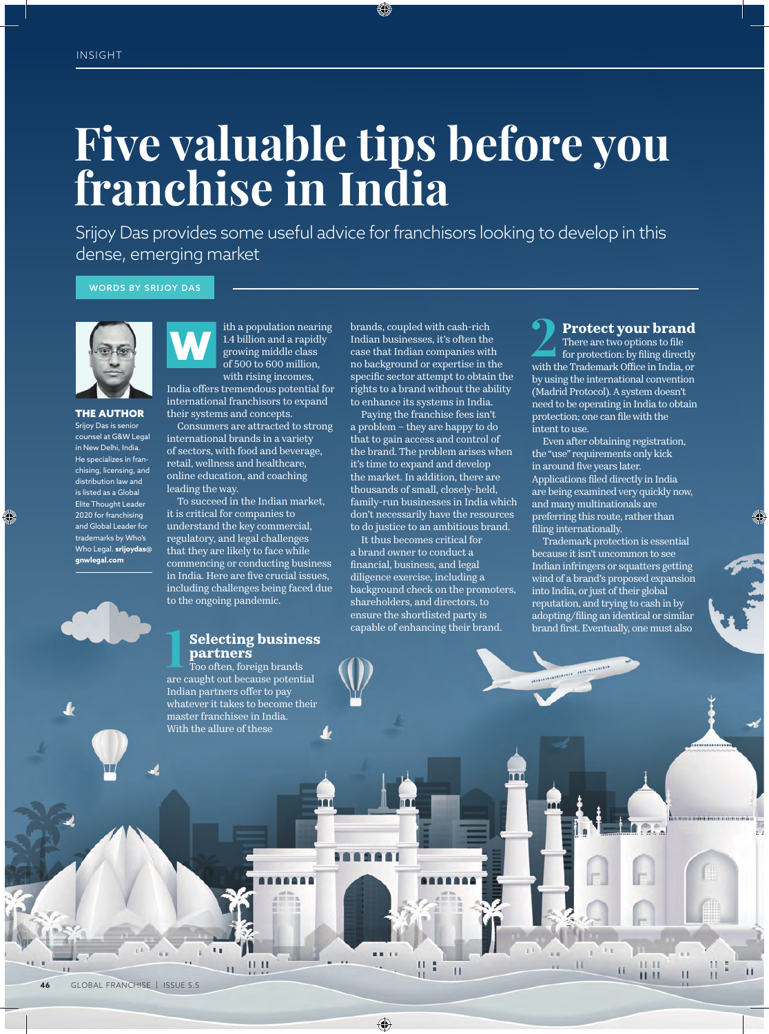# **Five valuable tips before you franchise in India**

Srijoy Das provides some useful advice for franchisors looking to develop in this dense, emerging market

WORDS BY SRIJOY DAS



THE AUTHOR Srijoy Das is senior counsel at G&W Legal in New Delhi, India. He specializes in franchising, licensing, and distribution law and is listed as a Global Elite Thought Leader 2020 for franchising and Global Leader for trademarks by Who's Who Legal. **srijoydas@ gnwlegal.com**



ith a population nearing 1.4 billion and a rapidly growing middle class of 500 to 600 million, with rising incomes, India offers tremendous potential for international franchisors to expand W

their systems and concepts. Consumers are attracted to strong international brands in a variety of sectors, with food and beverage, retail, wellness and healthcare, online education, and coaching leading the way.

To succeed in the Indian market, it is critical for companies to understand the key commercial, regulatory, and legal challenges that they are likely to face while commencing or conducting business in India. Here are five crucial issues, including challenges being faced due to the ongoing pandemic.

#### **1 Selecting business partners**

Too often, foreign brands are caught out because potential Indian partners offer to pay whatever it takes to become their master franchisee in India. With the allure of these

 $\mathbf{11}$   $\mathbf{11}$ 

brands, coupled with cash-rich Indian businesses, it's often the case that Indian companies with no background or expertise in the specific sector attempt to obtain the rights to a brand without the ability to enhance its systems in India.

Paying the franchise fees isn't a problem – they are happy to do that to gain access and control of the brand. The problem arises when it's time to expand and develop the market. In addition, there are thousands of small, closely-held, family-run businesses in India which don't necessarily have the resources to do justice to an ambitious brand.

It thus becomes critical for a brand owner to conduct a financial, business, and legal diligence exercise, including a background check on the promoters, shareholders, and directors, to ensure the shortlisted party is capable of enhancing their brand.

**2 Protect your brand**<br>
for protection: by filing directly<br>
with the Trotection: by filing directly There are two options to file with the Trademark Office in India, or by using the international convention (Madrid Protocol). A system doesn't need to be operating in India to obtain protection; one can file with the intent to use.

Even after obtaining registration, the "use" requirements only kick in around five years later. Applications filed directly in India are being examined very quickly now, and many multinationals are preferring this route, rather than filing internationally.

Trademark protection is essential because it isn't uncommon to see Indian infringers or squatters getting wind of a brand's proposed expansion into India, or just of their global reputation, and trying to cash in by adopting/filing an identical or similar brand first. Eventually, one must also

 $\mathbf{r}$ 

п

 $\blacksquare$ 

 $11$   $11$ 

 $1111$ 

п

п